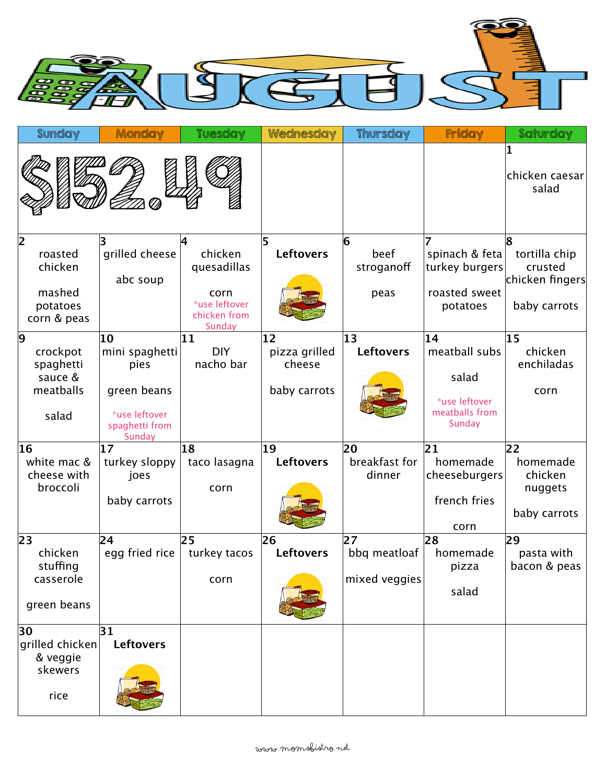

| <b>Sunday</b>                                                      | Monday                                                                                   | <b>Tuesday</b>                                                                         | Wednesday                                     | <b>Thursday</b>                     | Friday                                                                    | Saturday                                                         |
|--------------------------------------------------------------------|------------------------------------------------------------------------------------------|----------------------------------------------------------------------------------------|-----------------------------------------------|-------------------------------------|---------------------------------------------------------------------------|------------------------------------------------------------------|
|                                                                    |                                                                                          |                                                                                        |                                               |                                     |                                                                           | 1<br>chicken caesar<br>salad                                     |
| 2 <br>roasted<br>chicken<br>mashed<br>potatoes<br>corn & peas      | grilled cheese<br>abc soup                                                               | Ι4<br>chicken<br>quesadillas<br>corn<br>*use leftover<br>chicken from<br><b>Sunday</b> | 5<br><b>Leftovers</b>                         | 6<br>beef<br>stroganoff<br>peas     | spinach & feta<br>turkey burgers<br>roasted sweet<br>potatoes             | 8<br>tortilla chip<br>crusted<br>chicken fingers<br>baby carrots |
| 9<br>crockpot<br>spaghetti<br>sauce &<br>meatballs<br>salad        | 10<br>mini spaghetti<br>pies<br>green beans<br>*use leftover<br>spaghetti from<br>Sunday | 11<br><b>DIY</b><br>nacho bar                                                          | 12<br>pizza grilled<br>cheese<br>baby carrots | 13<br><b>Leftovers</b>              | 14<br>meatball subs<br>salad<br>*use leftover<br>meatballs from<br>Sunday | 15<br>chicken<br>enchiladas<br>corn                              |
| 16<br>white mac &<br>cheese with<br>broccoli                       | 17<br>turkey sloppy<br>joes<br>baby carrots                                              | 18<br>taco lasagna<br>corn                                                             | 19<br><b>Leftovers</b>                        | 20<br>breakfast for<br>dinner       | $\overline{21}$<br>homemade<br>cheeseburgers<br>french fries<br>corn      | 22<br>homemade<br>chicken<br>nuggets<br>baby carrots             |
| $\overline{23}$<br>chicken<br>stuffing<br>casserole<br>green beans | 24<br>egg fried rice                                                                     | 25<br>turkey tacos<br>corn                                                             | 26<br>Leftovers                               | 27<br>bbq meatloaf<br>mixed veggies | 28<br>homemade<br>pizza<br>salad                                          | 29<br>pasta with<br>bacon & peas                                 |
| 30<br>grilled chicken<br>& veggie<br>skewers<br>rice               | 31 <br><b>Leftovers</b>                                                                  |                                                                                        |                                               |                                     |                                                                           |                                                                  |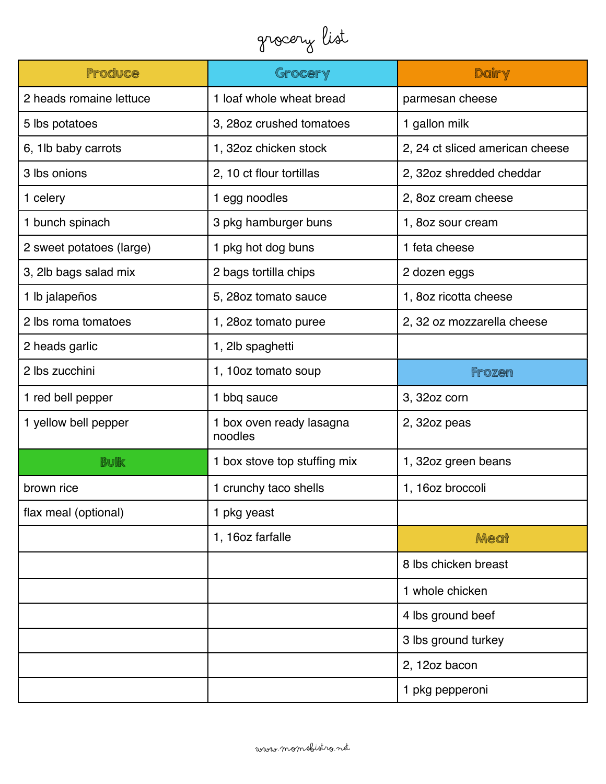## Grocery List

| Produce                  | Grocery                             | Dairy                           |  |
|--------------------------|-------------------------------------|---------------------------------|--|
| 2 heads romaine lettuce  | 1 loaf whole wheat bread            | parmesan cheese                 |  |
| 5 lbs potatoes           | 3, 28oz crushed tomatoes            | 1 gallon milk                   |  |
| 6, 1lb baby carrots      | 1, 32oz chicken stock               | 2, 24 ct sliced american cheese |  |
| 3 lbs onions             | 2, 10 ct flour tortillas            | 2, 32oz shredded cheddar        |  |
| 1 celery                 | 1 egg noodles                       | 2, 80z cream cheese             |  |
| 1 bunch spinach          | 3 pkg hamburger buns                | 1, 8oz sour cream               |  |
| 2 sweet potatoes (large) | 1 pkg hot dog buns                  | 1 feta cheese                   |  |
| 3, 2lb bags salad mix    | 2 bags tortilla chips               | 2 dozen eggs                    |  |
| 1 lb jalapeños           | 5, 28oz tomato sauce                | 1, 80z ricotta cheese           |  |
| 2 lbs roma tomatoes      | 1, 28oz tomato puree                | 2, 32 oz mozzarella cheese      |  |
| 2 heads garlic           | 1, 2lb spaghetti                    |                                 |  |
| 2 lbs zucchini           | 1, 10oz tomato soup                 | <b>Frozen</b>                   |  |
| 1 red bell pepper        | 1 bbq sauce                         | 3, 32oz corn                    |  |
| 1 yellow bell pepper     | 1 box oven ready lasagna<br>noodles | 2, 32oz peas                    |  |
| <b>Bulk</b>              | 1 box stove top stuffing mix        | 1, 32oz green beans             |  |
| brown rice               | 1 crunchy taco shells               | 1, 16oz broccoli                |  |
| flax meal (optional)     | 1 pkg yeast                         |                                 |  |
|                          | 1, 16oz farfalle                    | Meat                            |  |
|                          |                                     | 8 lbs chicken breast            |  |
|                          |                                     | 1 whole chicken                 |  |
|                          |                                     | 4 lbs ground beef               |  |
|                          |                                     | 3 lbs ground turkey             |  |
|                          |                                     | 2, 12oz bacon                   |  |
|                          |                                     | 1 pkg pepperoni                 |  |